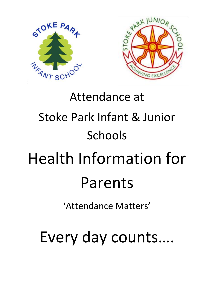

# Attendance at Stoke Park Infant & Junior Schools Health Information for Parents

'Attendance Matters'

Every day counts….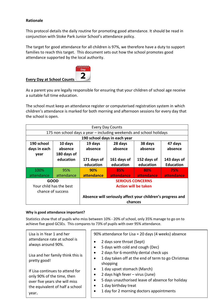# **Rationale**

This protocol details the daily routine for promoting good attendance. It should be read in conjunction with Stoke Park Junior School's attendance policy.

The target for good attendance for all children is 97%, we therefore have a duty to support families to reach this target. This document sets out how the school promotes good attendance supported by the local authority.



As a parent you are legally responsible for ensuring that your children of school age receive a suitable full time education.

The school must keep an attendance register or computerised registration system in which children's attendance is marked for both morning and afternoon sessions for every day that the school is open.

| <b>Every Day Counts</b>                                             |             |                                                                       |             |             |                  |  |  |
|---------------------------------------------------------------------|-------------|-----------------------------------------------------------------------|-------------|-------------|------------------|--|--|
| 175 non school days a year – including weekends and school holidays |             |                                                                       |             |             |                  |  |  |
| 190 school days in each year                                        |             |                                                                       |             |             |                  |  |  |
| 190 school                                                          | 10 days     | 19 days                                                               | 28 days     | 38 days     | 47 days          |  |  |
| days in each                                                        | absence     | absence                                                               | absence     | absence     | absence          |  |  |
| year                                                                | 180 days of |                                                                       |             |             |                  |  |  |
|                                                                     | education   | 171 days of                                                           | 161 days of | 152 days of | 143 days of      |  |  |
|                                                                     |             | education                                                             | education   | education   | <b>Education</b> |  |  |
| 100%                                                                | 95%         | 90%                                                                   | 85%         | 80%         | 75%              |  |  |
| attendance                                                          | attendance  | attendance                                                            | attendance  | attendance  | attendance       |  |  |
| <b>GOOD</b>                                                         |             | <b>SERIOUS CONCERNS</b>                                               |             |             |                  |  |  |
| Your child has the best                                             |             | <b>Action will be taken</b>                                           |             |             |                  |  |  |
| chance of success                                                   |             |                                                                       |             |             |                  |  |  |
|                                                                     |             | Absence will seriously affect your children's progress and<br>chances |             |             |                  |  |  |

# **Why is good attendance important?**

Statistics show that of pupils who miss between 10% - 20% of school, only 35% manage to go on to achieve five good GCSEs. This compares to 73% of pupils with over 95% attendance.

| Lisa is in Year 1 and her<br>attendance rate at school is<br>always around 90%.                                                            | 90% attendance for Lisa = 20 days (4 weeks) absence<br>2 days sore throat (Sept)<br>$\bullet$<br>5 days with cold and cough (Dec)<br>$\bullet$                                                                                                           |  |  |
|--------------------------------------------------------------------------------------------------------------------------------------------|----------------------------------------------------------------------------------------------------------------------------------------------------------------------------------------------------------------------------------------------------------|--|--|
| Lisa and her family think this is<br>pretty good!                                                                                          | 2 days for 6-monthly dental check ups<br>$\bullet$<br>1 day taken off at the end of term to go Christmas<br>$\bullet$<br>shopping                                                                                                                        |  |  |
| If Lisa continues to attend for<br>only 90% of the time, then<br>over five years she will miss<br>the equivalent of half a school<br>vear. | 1 day upset stomach (March)<br>$\bullet$<br>2 days high fever - virus (June)<br>$\bullet$<br>5 days unauthorised leave of absence for holiday<br>$\bullet$<br>1 day birthday treat<br>$\bullet$<br>1 day for 2 morning doctors appointments<br>$\bullet$ |  |  |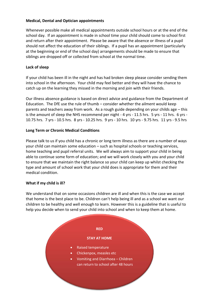# **Medical, Dental and Optician appointments**

Whenever possible make all medical appointments outside school hours or at the end of the school day. If an appointment is made in school time your child should come to school first and return after their appointment. Please be aware that the absence or illness of a pupil should not affect the education of their siblings. If a pupil has an appointment (particularly at the beginning or end of the school day) arrangements should be made to ensure that siblings are dropped off or collected from school at the normal time.

# **Lack of sleep**

If your child has been ill in the night and has had broken sleep please consider sending them into school in the afternoon. Your child may feel better and they will have the chance to catch up on the learning they missed in the morning and join with their friends.

Our illness absence guidance is based on direct advice and guidance from the Department of Education. The DfE use the rule of thumb – consider whether the ailment would keep parents and teachers away from work. As a rough guide depending on your childs age – this is the amount of sleep the NHS recommend per night - 4 yrs - 11.5 hrs. 5 yrs - 11 hrs. 6 yrs - 10.75 hrs. 7 yrs - 10.5 hrs. 8 yrs - 10.25 hrs. 9 yrs - 10 hrs. 10 yrs - 9.75 hrs. 11 yrs - 9.5 hrs

# **Long Term or Chronic Medical Conditions**

Please talk to us if you child has a chronic or long term illness as there are a number of ways your child can maintain some education – such as hospital schools or teaching services, home teaching and pupil referral units. We will always aim to support your child in being able to continue some form of education; and we will work closely with you and your child to ensure that we maintain the right balance so your child can keep up whilst checking the type and amount of school work that your child does is appropriate for them and their medical condition.

# **What if my child is ill?**

We understand that on some occasions children are ill and when this is the case we accept that home is the best place to be. Children can't help being ill and as a school we want our children to be healthy and well enough to learn. However this is a guideline that is useful to help you decide when to send your child into school and when to keep them at home.

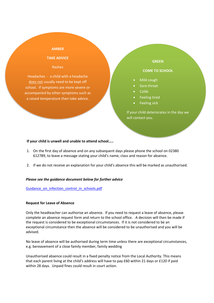#### **AMBER**

## **TAKE ADVICE**

#### Rashes

Headaches - a child with a headache does not usually need to be kept off school. If symptoms are more severe or accompanied by other symptoms such as a raised temperature then take advice.

### **GREEN**

#### **COME TO SCHOOL**

- Mild cough
- Sore throat
- **Colds**
- Feeling tired
- Feeling sick

If your child deteriorates in the day we will contact you.

#### **If your child is unwell and unable to attend school…..**

- 1. On the first day of absence and on any subsequent days please phone the school on 02380 612789, to leave a message stating your child's name, class and reason for absence.
- 2. If we do not receive an explanation for your child's absence this will be marked as unauthorised.

#### *Please see the guidance document below for further advice*

## Guidance on infection control in schools.pdf

#### **Request for Leave of Absence**

Only the headteacher can authorise an absence. If you need to request a leave of absence, please complete an absence request form and return to the school office. A decision will then be made if the request is considered to be exceptional circumstances. If it is not considered to be an exceptional circumstance then the absence will be considered to be unauthorised and you will be advised.

No leave of absence will be authorised during term time unless there are exceptional circumstances, e.g. bereavement of a close family member, family wedding

Unauthorised absence could result in a fixed penalty notice from the Local Authority. This means that each parent living at the child's address will have to pay £60 within 21 days or £120 if paid within 28 days. Unpaid fines could result in court action.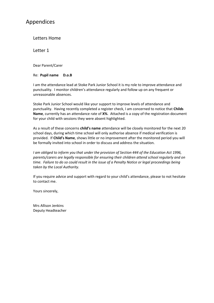# Appendices

Letters Home

Letter 1

Dear Parent/Carer

# Re: **Pupil name D.o.B**

I am the attendance lead at Stoke Park Junior School it is my role to improve attendance and punctuality. I monitor children's attendance regularly and follow up on any frequent or unreasonable absences.

Stoke Park Junior School would like your support to improve levels of attendance and punctuality. Having recently completed a register check, I am concerned to notice that **Childs Name**, currently has an attendance rate of **X%**. Attached is a copy of the registration document for your child with sessions they were absent highlighted.

As a result of these concerns **child's name** attendance will be closely monitored for the next 20 school days, during which time school will only authorise absence if medical verification is provided. If **Child's Name**, shows little or no improvement after the monitored period you will be formally invited into school in order to discuss and address the situation.

*I am obliged to inform you that under the provision of Section 444 of the Education Act 1996, parents/carers are legally responsible for ensuring their children attend school regularly and on time. Failure to do so could result in the issue of a Penalty Notice or legal proceedings being taken by the Local Authority.*

If you require advice and support with regard to your child's attendance, please to not hesitate to contact me.

Yours sincerely,

Mrs Allison Jenkins Deputy Headteacher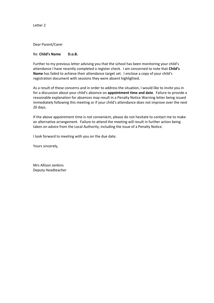Letter 2

Dear Parent/Carer

### Re: **Child's Name D.o.B.**

Further to my previous letter advising you that the school has been monitoring your child's attendance I have recently completed a register check. I am concerned to note that **Child's Name** has failed to achieve their attendance target set. I enclose a copy of your child's registration document with sessions they were absent highlighted.

As a result of these concerns and in order to address the situation, I would like to invite you in for a discussion about your child's absence on **appointment time and date**. Failure to provide a reasonable explanation for absences may result in a Penalty Notice Warning letter being issued immediately following this meeting or if your child's attendance does not improve over the next 20 days.

If the above appointment time is not convenient, please do not hesitate to contact me to make an alternative arrangement. Failure to attend the meeting will result in further action being taken on advice from the Local Authority, including the issue of a Penalty Notice.

I look forward to meeting with you on the due date.

Yours sincerely,

Mrs Allison Jenkins Deputy Headteacher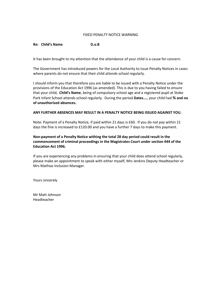### FIXED PENALTY NOTICE WARNING

## **Re: Child's Name D.o.B**

It has been brought to my attention that the attendance of your child is a cause for concern.

The Government has introduced powers for the Local Authority to issue Penalty Notices in cases where parents do not ensure that their child attends school regularly.

I should inform you that therefore you are liable to be issued with a Penalty Notice under the provisions of the Education Act 1996 (as amended). This is due to you having failed to ensure that your child, **Child's Name**, being of compulsory school age and a registered pupil at Stoke Park Infant School attends school regularly. During the period **Dates….**, your child had **% and no of unauthorised absences.**

## **ANY FURTHER ABSENCES MAY RESULT IN A PENALTY NOTICE BEING ISSUED AGAINST YOU.**

Note: Payment of a Penalty Notice, if paid within 21 days is £60. If you do not pay within 21 days the fine is increased to £120.00 and you have a further 7 days to make this payment.

# **Non-payment of a Penalty Notice withing the total 28 day period could result in the commencement of criminal proceedings in the Magistrates Court under section 444 of the Education Act 1996.**

If you are experiencing any problems in ensuring that your child does attend school regularly, please make an appointment to speak with either myself, Mrs Jenkins Deputy Headteacher or Mrs Mathias Inclusion Manager.

Yours sincerely

Mr Matt Johnson Headteacher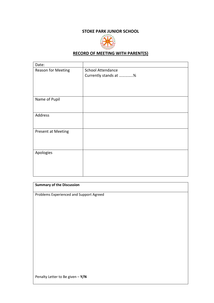# **STOKE PARK JUNIOR SCHOOL**



# **RECORD OF MEETING WITH PARENT(S)**

| Date:              |                          |
|--------------------|--------------------------|
| Reason for Meeting | <b>School Attendance</b> |
|                    | Currently stands at %    |
|                    |                          |
|                    |                          |
| Name of Pupil      |                          |
|                    |                          |
|                    |                          |
| Address            |                          |
|                    |                          |
| Present at Meeting |                          |
|                    |                          |
|                    |                          |
| Apologies          |                          |
|                    |                          |
|                    |                          |
|                    |                          |

# **Summary of the Discussion**

Problems Experienced and Support Agreed

Penalty Letter to Be given – **Y/N**